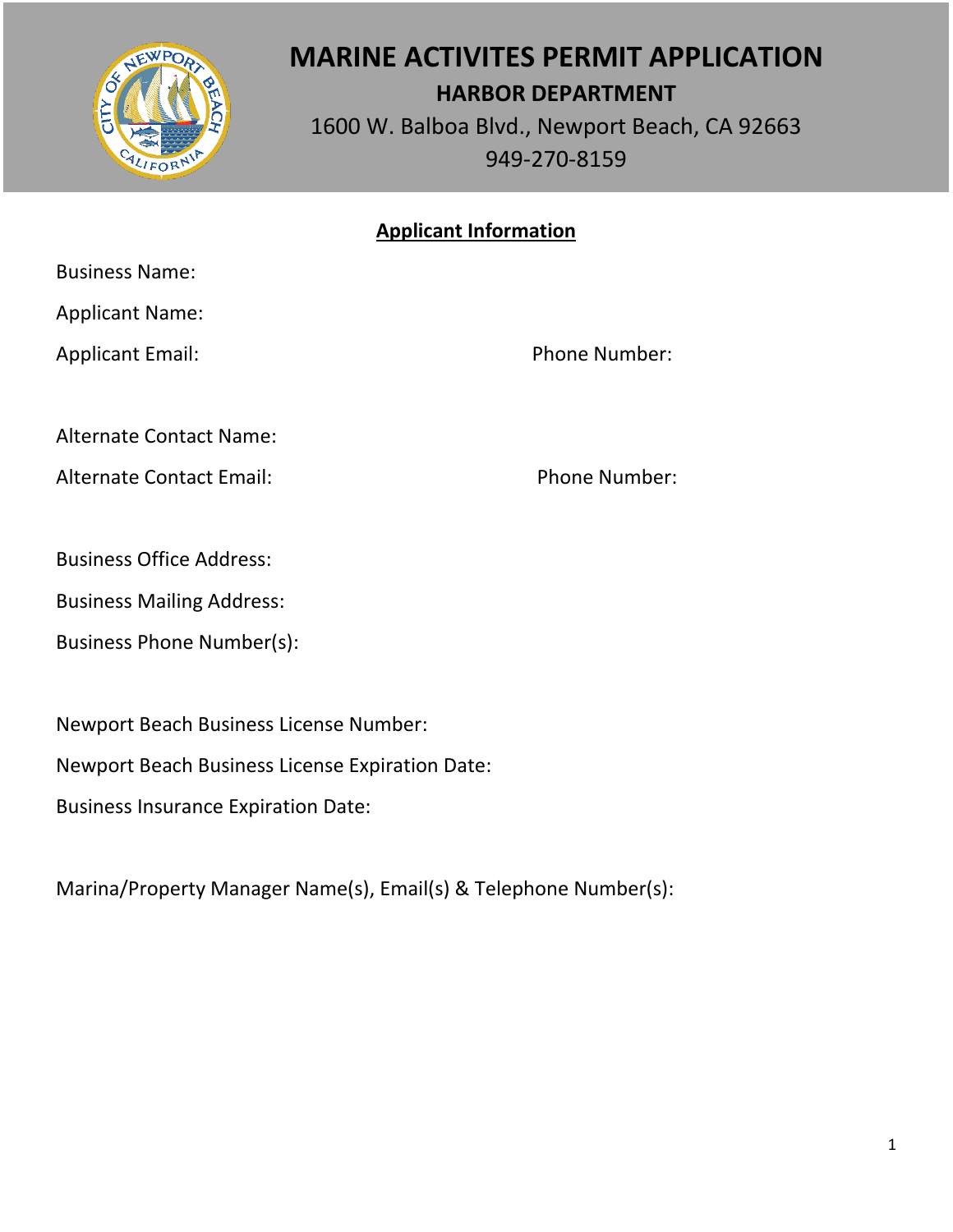

# **MARINE ACTIVITES PERMIT APPLICATION HARBOR DEPARTMENT**

1600 W. Balboa Blvd., Newport Beach, CA 92663 949-270-8159

## **Applicant Information**

Business Name:

Applicant Name:

Applicant Email: Phone Number:

Alternate Contact Name:

Alternate Contact Email: Phone Number:

Business Office Address:

Business Mailing Address:

Business Phone Number(s):

Newport Beach Business License Number:

Newport Beach Business License Expiration Date:

Business Insurance Expiration Date:

Marina/Property Manager Name(s), Email(s) & Telephone Number(s):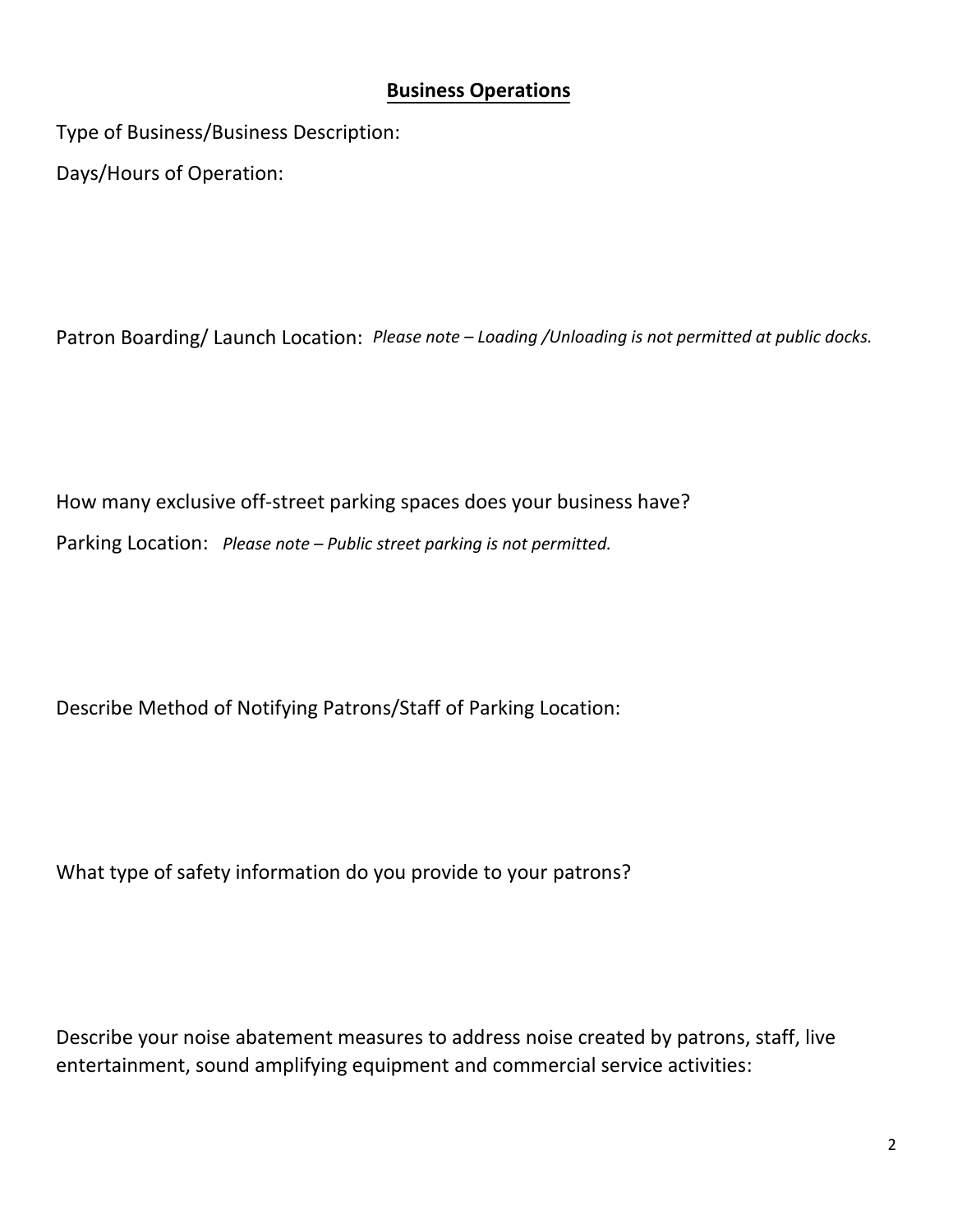## **Business Operations**

Type of Business/Business Description: Days/Hours of Operation:

Patron Boarding/ Launch Location: *Please note – Loading /Unloading is not permitted at public docks.* 

How many exclusive off-street parking spaces does your business have?

Parking Location: *Please note – Public street parking is not permitted.*

Describe Method of Notifying Patrons/Staff of Parking Location:

What type of safety information do you provide to your patrons?

Describe your noise abatement measures to address noise created by patrons, staff, live entertainment, sound amplifying equipment and commercial service activities: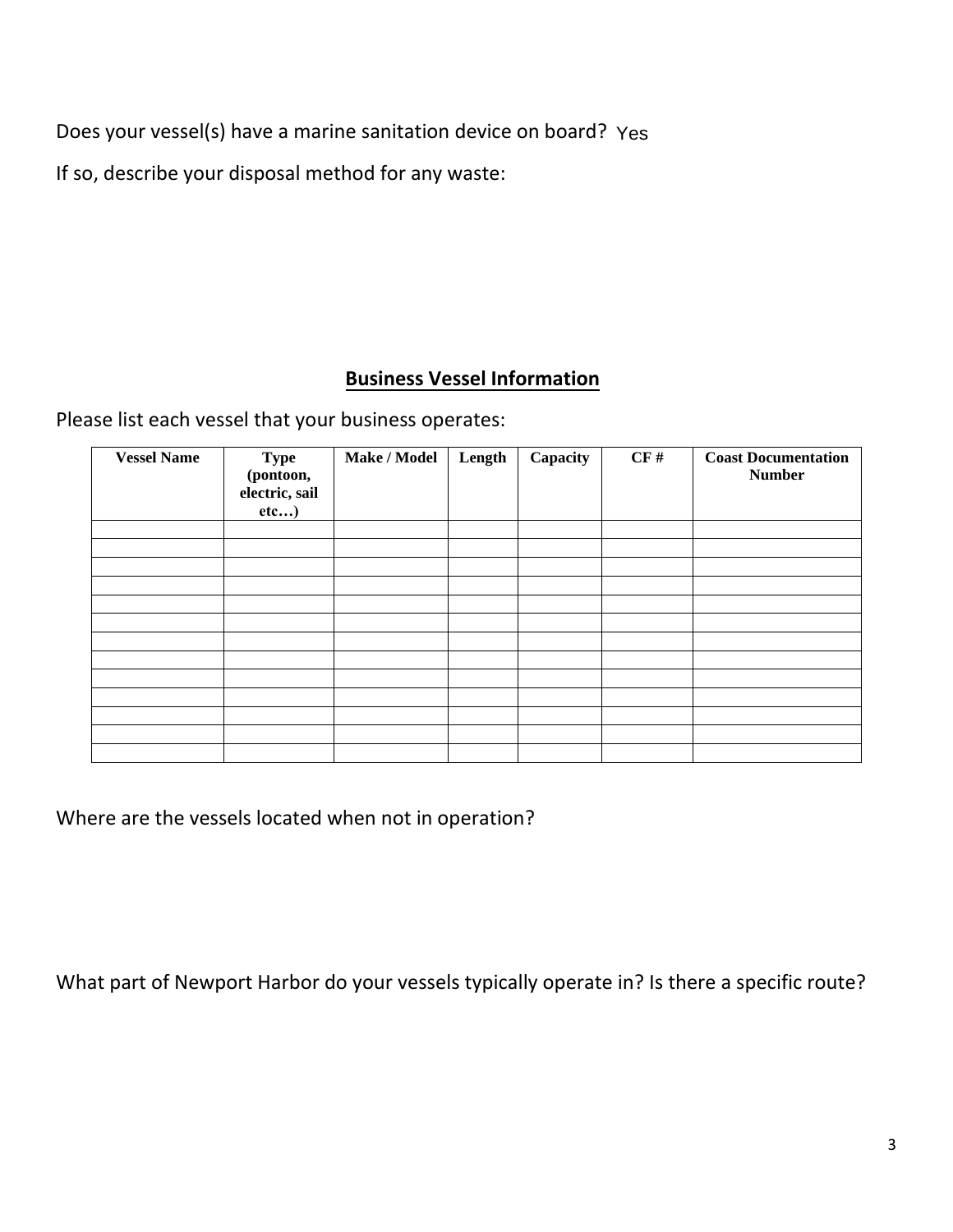Does your vessel(s) have a marine sanitation device on board? Yes

If so, describe your disposal method for any waste:

# **Business Vessel Information**

Please list each vessel that your business operates:

| <b>Vessel Name</b> | <b>Type</b><br>(pontoon,<br>electric, sail<br>etc) | Make / Model | Length | Capacity | CF# | <b>Coast Documentation</b><br><b>Number</b> |
|--------------------|----------------------------------------------------|--------------|--------|----------|-----|---------------------------------------------|
|                    |                                                    |              |        |          |     |                                             |
|                    |                                                    |              |        |          |     |                                             |
|                    |                                                    |              |        |          |     |                                             |
|                    |                                                    |              |        |          |     |                                             |
|                    |                                                    |              |        |          |     |                                             |
|                    |                                                    |              |        |          |     |                                             |
|                    |                                                    |              |        |          |     |                                             |
|                    |                                                    |              |        |          |     |                                             |
|                    |                                                    |              |        |          |     |                                             |
|                    |                                                    |              |        |          |     |                                             |
|                    |                                                    |              |        |          |     |                                             |
|                    |                                                    |              |        |          |     |                                             |
|                    |                                                    |              |        |          |     |                                             |

Where are the vessels located when not in operation?

What part of Newport Harbor do your vessels typically operate in? Is there a specific route?